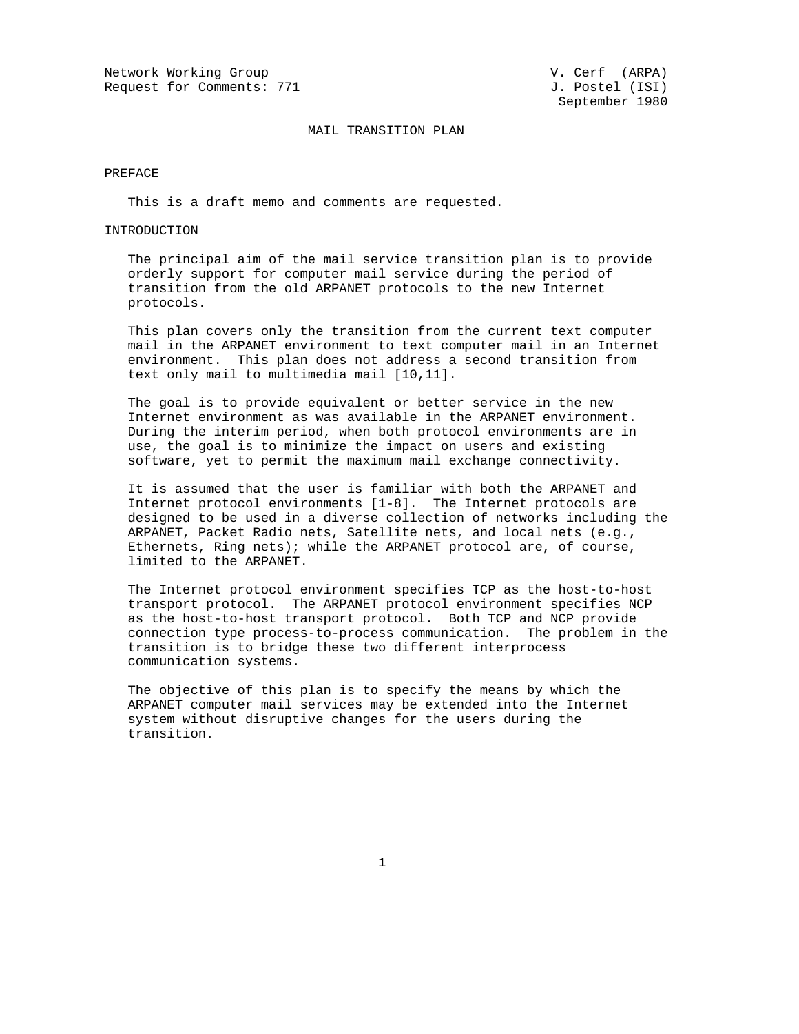Network Working Group<br>Request for Comments: 771  $J.$  Postel (ISI) Request for Comments: 771

## MAIL TRANSITION PLAN

#### PREFACE

This is a draft memo and comments are requested.

## INTRODUCTION

 The principal aim of the mail service transition plan is to provide orderly support for computer mail service during the period of transition from the old ARPANET protocols to the new Internet protocols.

 This plan covers only the transition from the current text computer mail in the ARPANET environment to text computer mail in an Internet environment. This plan does not address a second transition from text only mail to multimedia mail [10,11].

 The goal is to provide equivalent or better service in the new Internet environment as was available in the ARPANET environment. During the interim period, when both protocol environments are in use, the goal is to minimize the impact on users and existing software, yet to permit the maximum mail exchange connectivity.

 It is assumed that the user is familiar with both the ARPANET and Internet protocol environments [1-8]. The Internet protocols are designed to be used in a diverse collection of networks including the ARPANET, Packet Radio nets, Satellite nets, and local nets (e.g., Ethernets, Ring nets); while the ARPANET protocol are, of course, limited to the ARPANET.

 The Internet protocol environment specifies TCP as the host-to-host transport protocol. The ARPANET protocol environment specifies NCP as the host-to-host transport protocol. Both TCP and NCP provide connection type process-to-process communication. The problem in the transition is to bridge these two different interprocess communication systems.

 The objective of this plan is to specify the means by which the ARPANET computer mail services may be extended into the Internet system without disruptive changes for the users during the transition.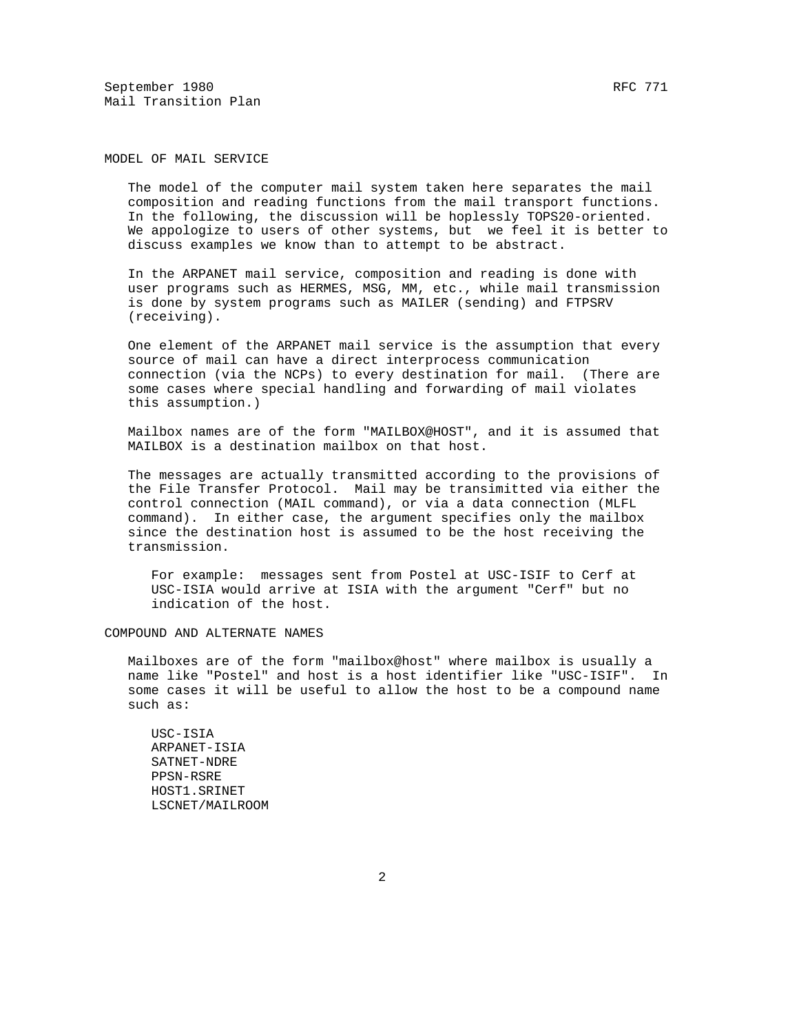September 1980 RFC 771 Mail Transition Plan

MODEL OF MAIL SERVICE

 The model of the computer mail system taken here separates the mail composition and reading functions from the mail transport functions. In the following, the discussion will be hoplessly TOPS20-oriented. We appologize to users of other systems, but we feel it is better to discuss examples we know than to attempt to be abstract.

 In the ARPANET mail service, composition and reading is done with user programs such as HERMES, MSG, MM, etc., while mail transmission is done by system programs such as MAILER (sending) and FTPSRV (receiving).

 One element of the ARPANET mail service is the assumption that every source of mail can have a direct interprocess communication connection (via the NCPs) to every destination for mail. (There are some cases where special handling and forwarding of mail violates this assumption.)

 Mailbox names are of the form "MAILBOX@HOST", and it is assumed that MAILBOX is a destination mailbox on that host.

 The messages are actually transmitted according to the provisions of the File Transfer Protocol. Mail may be transimitted via either the control connection (MAIL command), or via a data connection (MLFL command). In either case, the argument specifies only the mailbox since the destination host is assumed to be the host receiving the transmission.

 For example: messages sent from Postel at USC-ISIF to Cerf at USC-ISIA would arrive at ISIA with the argument "Cerf" but no indication of the host.

COMPOUND AND ALTERNATE NAMES

 Mailboxes are of the form "mailbox@host" where mailbox is usually a name like "Postel" and host is a host identifier like "USC-ISIF". In some cases it will be useful to allow the host to be a compound name such as:

 USC-ISIA ARPANET-ISIA SATNET-NDRE PPSN-RSRE HOST1.SRINET LSCNET/MAILROOM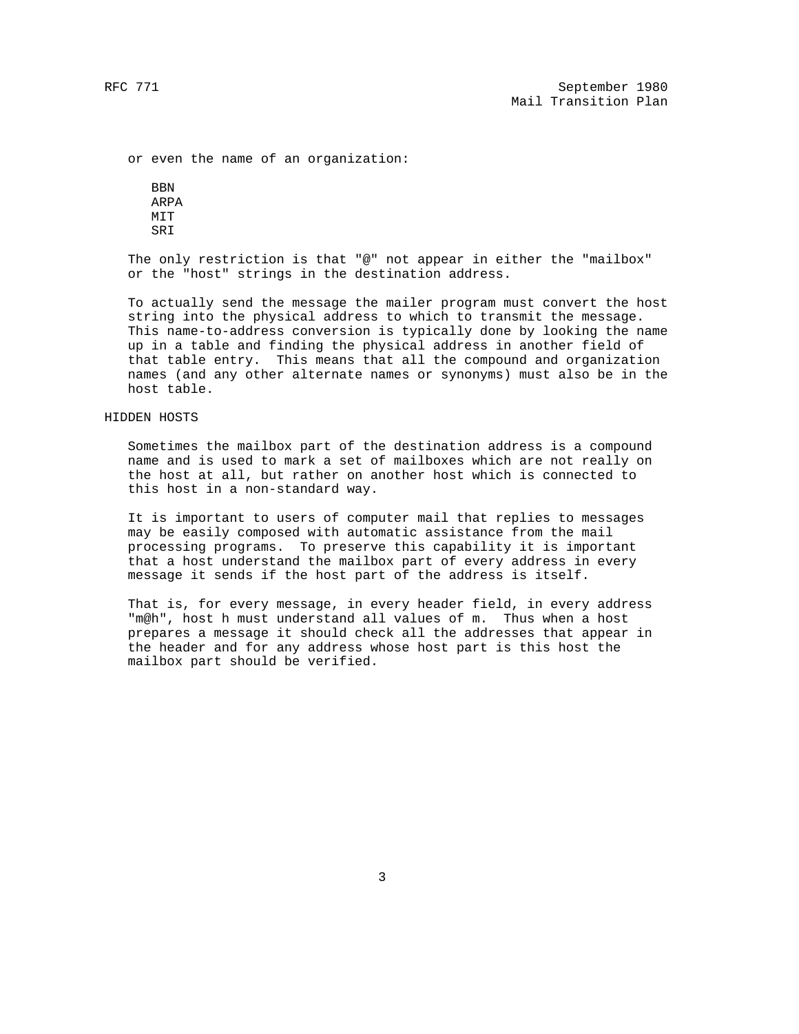or even the name of an organization:

**BBN**  ARPA MIT SRI

 The only restriction is that "@" not appear in either the "mailbox" or the "host" strings in the destination address.

 To actually send the message the mailer program must convert the host string into the physical address to which to transmit the message. This name-to-address conversion is typically done by looking the name up in a table and finding the physical address in another field of that table entry. This means that all the compound and organization names (and any other alternate names or synonyms) must also be in the host table.

## HIDDEN HOSTS

 Sometimes the mailbox part of the destination address is a compound name and is used to mark a set of mailboxes which are not really on the host at all, but rather on another host which is connected to this host in a non-standard way.

 It is important to users of computer mail that replies to messages may be easily composed with automatic assistance from the mail processing programs. To preserve this capability it is important that a host understand the mailbox part of every address in every message it sends if the host part of the address is itself.

 That is, for every message, in every header field, in every address "m@h", host h must understand all values of m. Thus when a host prepares a message it should check all the addresses that appear in the header and for any address whose host part is this host the mailbox part should be verified.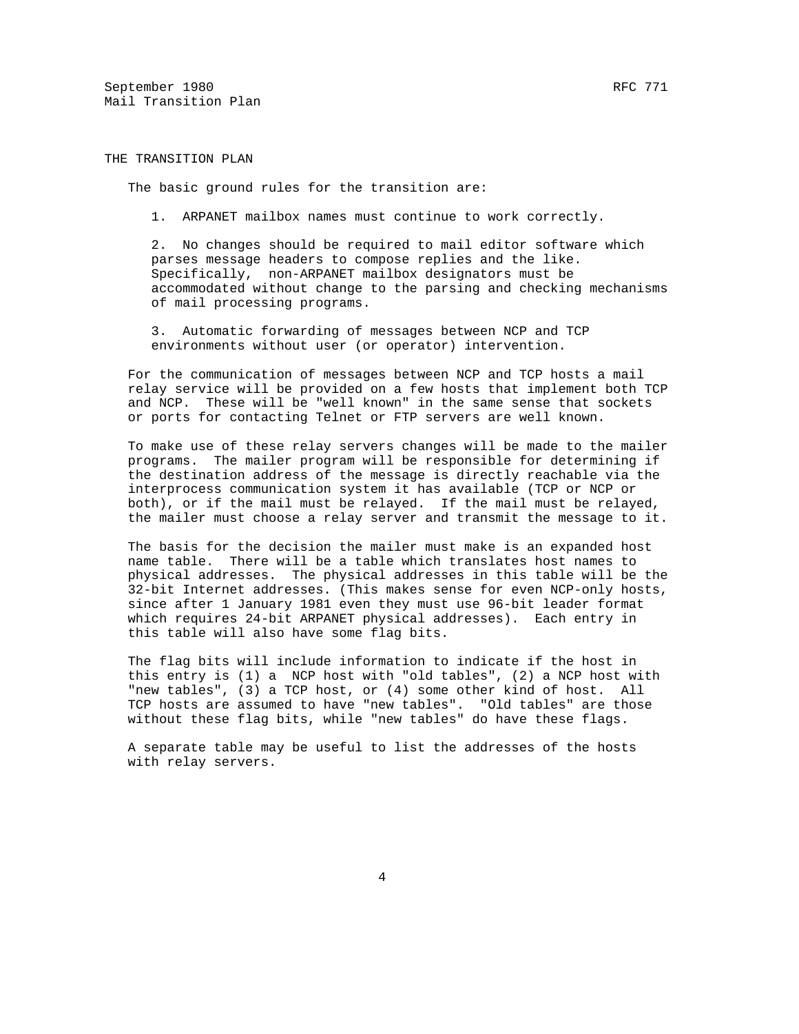September 1980 RFC 771 Mail Transition Plan

THE TRANSITION PLAN

The basic ground rules for the transition are:

1. ARPANET mailbox names must continue to work correctly.

 2. No changes should be required to mail editor software which parses message headers to compose replies and the like. Specifically, non-ARPANET mailbox designators must be accommodated without change to the parsing and checking mechanisms of mail processing programs.

 3. Automatic forwarding of messages between NCP and TCP environments without user (or operator) intervention.

 For the communication of messages between NCP and TCP hosts a mail relay service will be provided on a few hosts that implement both TCP and NCP. These will be "well known" in the same sense that sockets or ports for contacting Telnet or FTP servers are well known.

 To make use of these relay servers changes will be made to the mailer programs. The mailer program will be responsible for determining if the destination address of the message is directly reachable via the interprocess communication system it has available (TCP or NCP or both), or if the mail must be relayed. If the mail must be relayed, the mailer must choose a relay server and transmit the message to it.

 The basis for the decision the mailer must make is an expanded host name table. There will be a table which translates host names to physical addresses. The physical addresses in this table will be the 32-bit Internet addresses. (This makes sense for even NCP-only hosts, since after 1 January 1981 even they must use 96-bit leader format which requires 24-bit ARPANET physical addresses). Each entry in this table will also have some flag bits.

 The flag bits will include information to indicate if the host in this entry is (1) a NCP host with "old tables", (2) a NCP host with "new tables", (3) a TCP host, or (4) some other kind of host. All TCP hosts are assumed to have "new tables". "Old tables" are those without these flag bits, while "new tables" do have these flags.

 A separate table may be useful to list the addresses of the hosts with relay servers.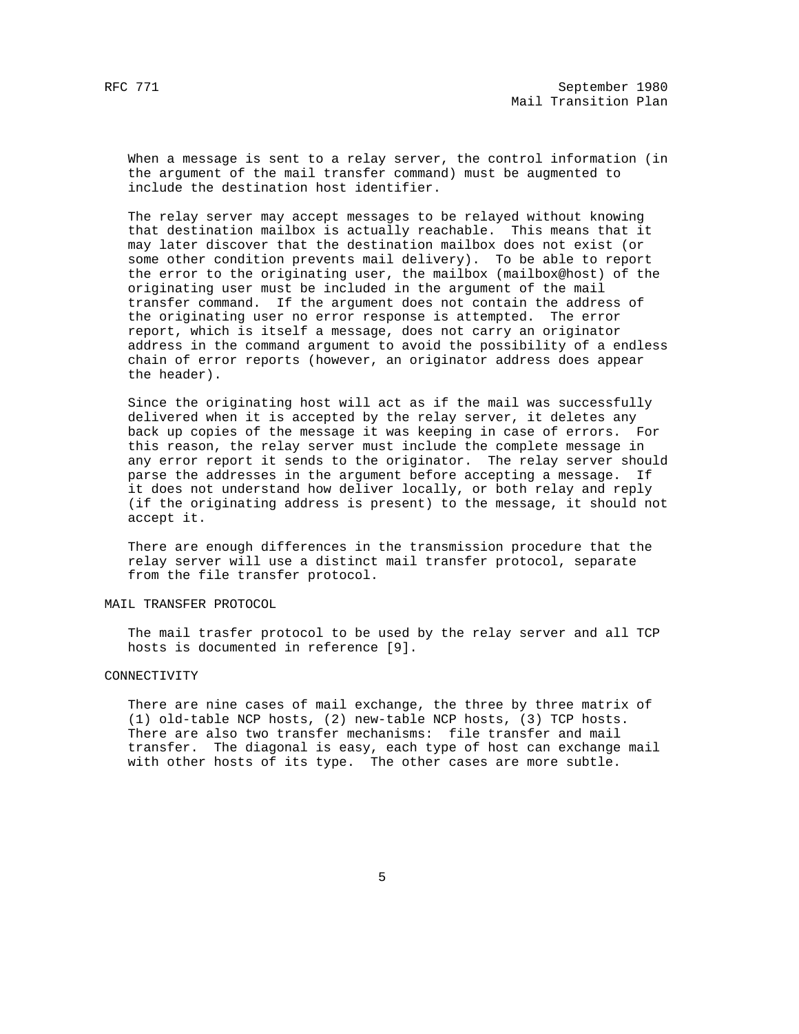When a message is sent to a relay server, the control information (in the argument of the mail transfer command) must be augmented to include the destination host identifier.

 The relay server may accept messages to be relayed without knowing that destination mailbox is actually reachable. This means that it may later discover that the destination mailbox does not exist (or some other condition prevents mail delivery). To be able to report the error to the originating user, the mailbox (mailbox@host) of the originating user must be included in the argument of the mail transfer command. If the argument does not contain the address of the originating user no error response is attempted. The error report, which is itself a message, does not carry an originator address in the command argument to avoid the possibility of a endless chain of error reports (however, an originator address does appear the header).

 Since the originating host will act as if the mail was successfully delivered when it is accepted by the relay server, it deletes any back up copies of the message it was keeping in case of errors. For this reason, the relay server must include the complete message in any error report it sends to the originator. The relay server should parse the addresses in the argument before accepting a message. If it does not understand how deliver locally, or both relay and reply (if the originating address is present) to the message, it should not accept it.

 There are enough differences in the transmission procedure that the relay server will use a distinct mail transfer protocol, separate from the file transfer protocol.

## MAIL TRANSFER PROTOCOL

 The mail trasfer protocol to be used by the relay server and all TCP hosts is documented in reference [9].

# CONNECTIVITY

 There are nine cases of mail exchange, the three by three matrix of (1) old-table NCP hosts, (2) new-table NCP hosts, (3) TCP hosts. There are also two transfer mechanisms: file transfer and mail transfer. The diagonal is easy, each type of host can exchange mail with other hosts of its type. The other cases are more subtle.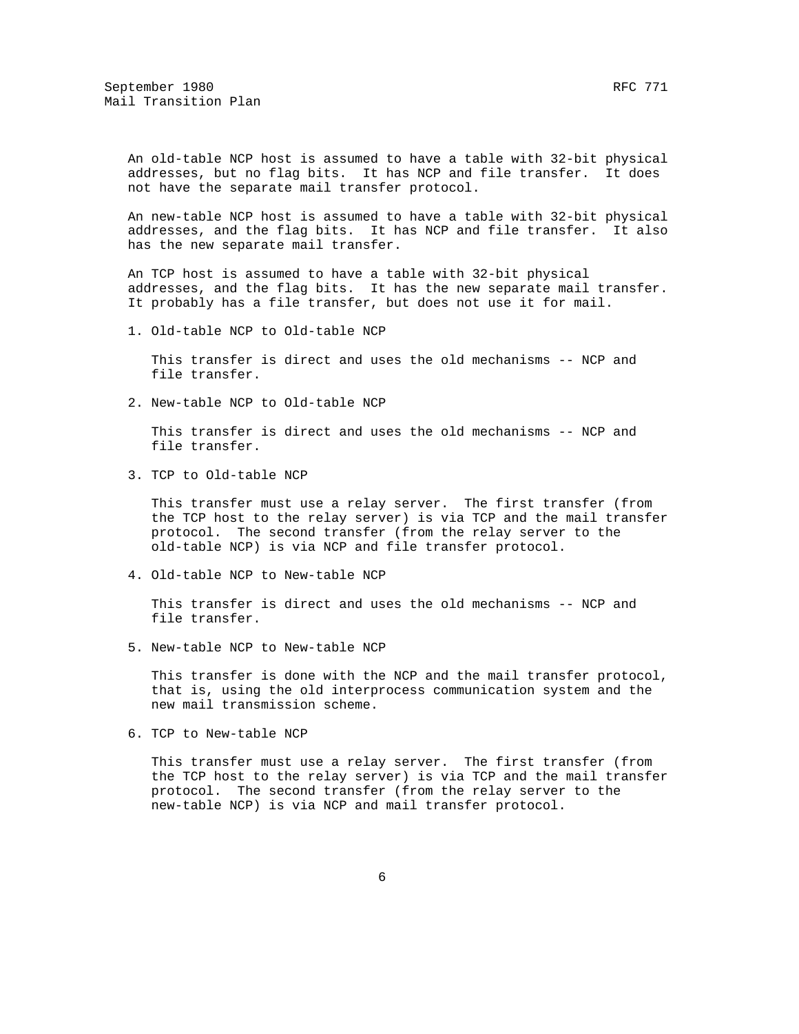An old-table NCP host is assumed to have a table with 32-bit physical addresses, but no flag bits. It has NCP and file transfer. It does not have the separate mail transfer protocol.

 An new-table NCP host is assumed to have a table with 32-bit physical addresses, and the flag bits. It has NCP and file transfer. It also has the new separate mail transfer.

 An TCP host is assumed to have a table with 32-bit physical addresses, and the flag bits. It has the new separate mail transfer. It probably has a file transfer, but does not use it for mail.

1. Old-table NCP to Old-table NCP

 This transfer is direct and uses the old mechanisms -- NCP and file transfer.

2. New-table NCP to Old-table NCP

 This transfer is direct and uses the old mechanisms -- NCP and file transfer.

3. TCP to Old-table NCP

 This transfer must use a relay server. The first transfer (from the TCP host to the relay server) is via TCP and the mail transfer protocol. The second transfer (from the relay server to the old-table NCP) is via NCP and file transfer protocol.

4. Old-table NCP to New-table NCP

 This transfer is direct and uses the old mechanisms -- NCP and file transfer.

5. New-table NCP to New-table NCP

 This transfer is done with the NCP and the mail transfer protocol, that is, using the old interprocess communication system and the new mail transmission scheme.

6. TCP to New-table NCP

 This transfer must use a relay server. The first transfer (from the TCP host to the relay server) is via TCP and the mail transfer protocol. The second transfer (from the relay server to the new-table NCP) is via NCP and mail transfer protocol.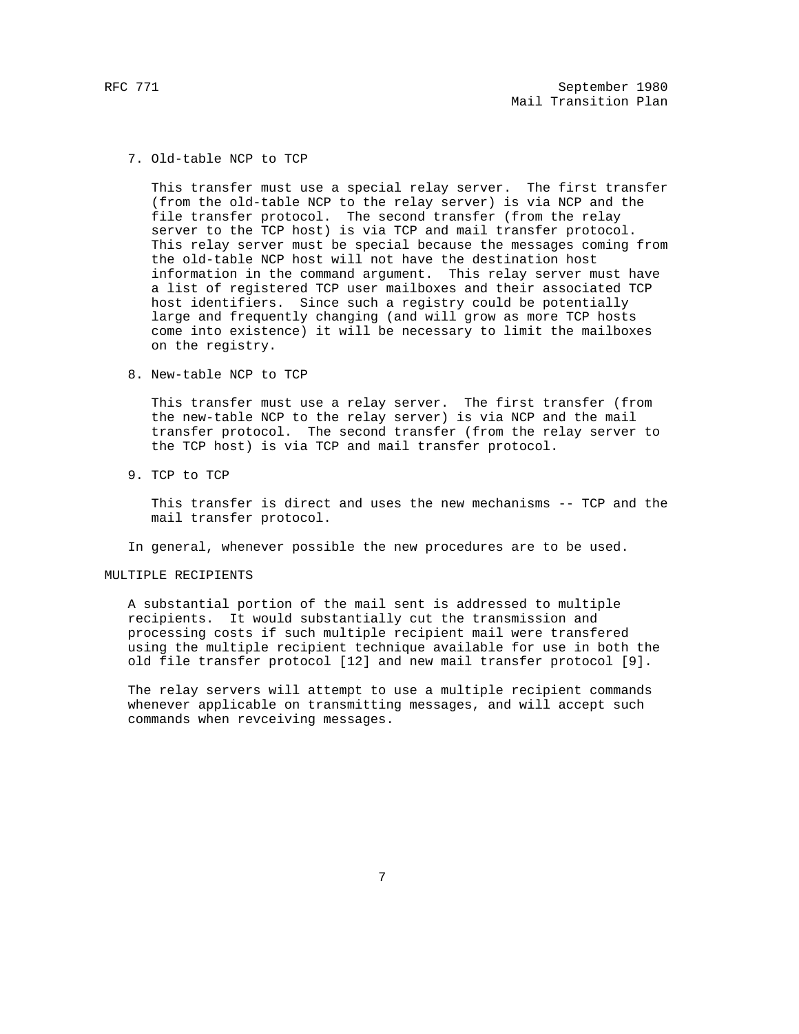7. Old-table NCP to TCP

 This transfer must use a special relay server. The first transfer (from the old-table NCP to the relay server) is via NCP and the file transfer protocol. The second transfer (from the relay server to the TCP host) is via TCP and mail transfer protocol. This relay server must be special because the messages coming from the old-table NCP host will not have the destination host information in the command argument. This relay server must have a list of registered TCP user mailboxes and their associated TCP host identifiers. Since such a registry could be potentially large and frequently changing (and will grow as more TCP hosts come into existence) it will be necessary to limit the mailboxes on the registry.

8. New-table NCP to TCP

 This transfer must use a relay server. The first transfer (from the new-table NCP to the relay server) is via NCP and the mail transfer protocol. The second transfer (from the relay server to the TCP host) is via TCP and mail transfer protocol.

9. TCP to TCP

 This transfer is direct and uses the new mechanisms -- TCP and the mail transfer protocol.

In general, whenever possible the new procedures are to be used.

# MULTIPLE RECIPIENTS

 A substantial portion of the mail sent is addressed to multiple recipients. It would substantially cut the transmission and processing costs if such multiple recipient mail were transfered using the multiple recipient technique available for use in both the old file transfer protocol [12] and new mail transfer protocol [9].

 The relay servers will attempt to use a multiple recipient commands whenever applicable on transmitting messages, and will accept such commands when revceiving messages.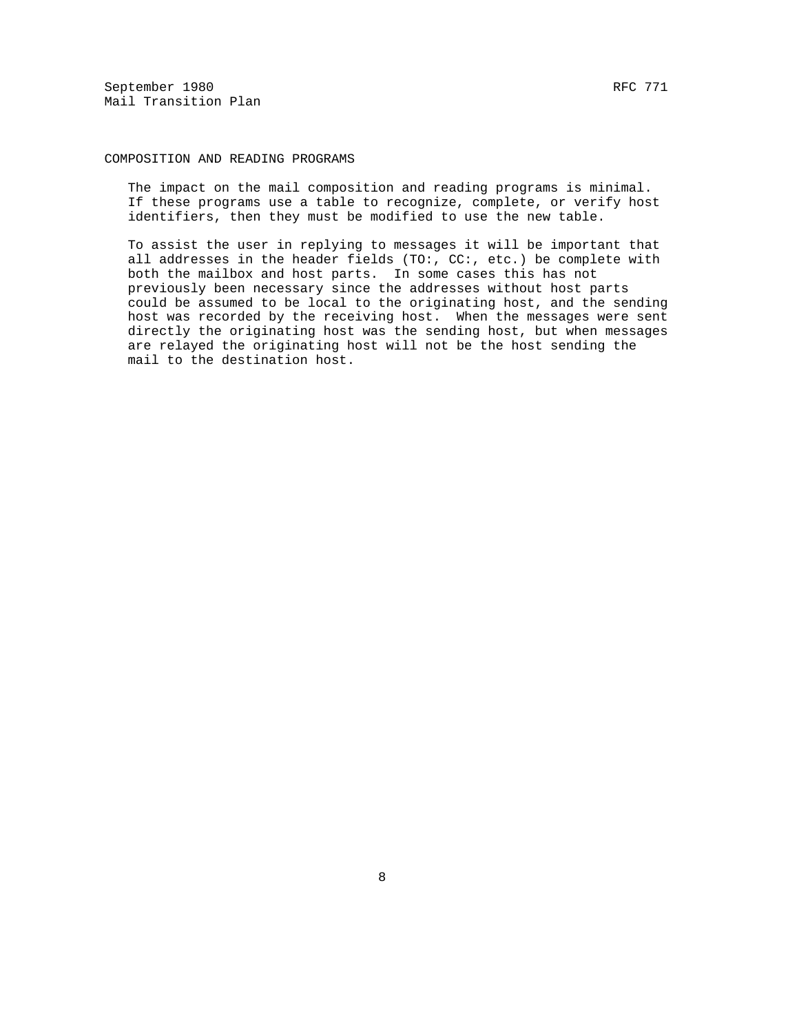September 1980 RFC 771 Mail Transition Plan

# COMPOSITION AND READING PROGRAMS

 The impact on the mail composition and reading programs is minimal. If these programs use a table to recognize, complete, or verify host identifiers, then they must be modified to use the new table.

 To assist the user in replying to messages it will be important that all addresses in the header fields (TO:, CC:, etc.) be complete with both the mailbox and host parts. In some cases this has not previously been necessary since the addresses without host parts could be assumed to be local to the originating host, and the sending host was recorded by the receiving host. When the messages were sent directly the originating host was the sending host, but when messages are relayed the originating host will not be the host sending the mail to the destination host.